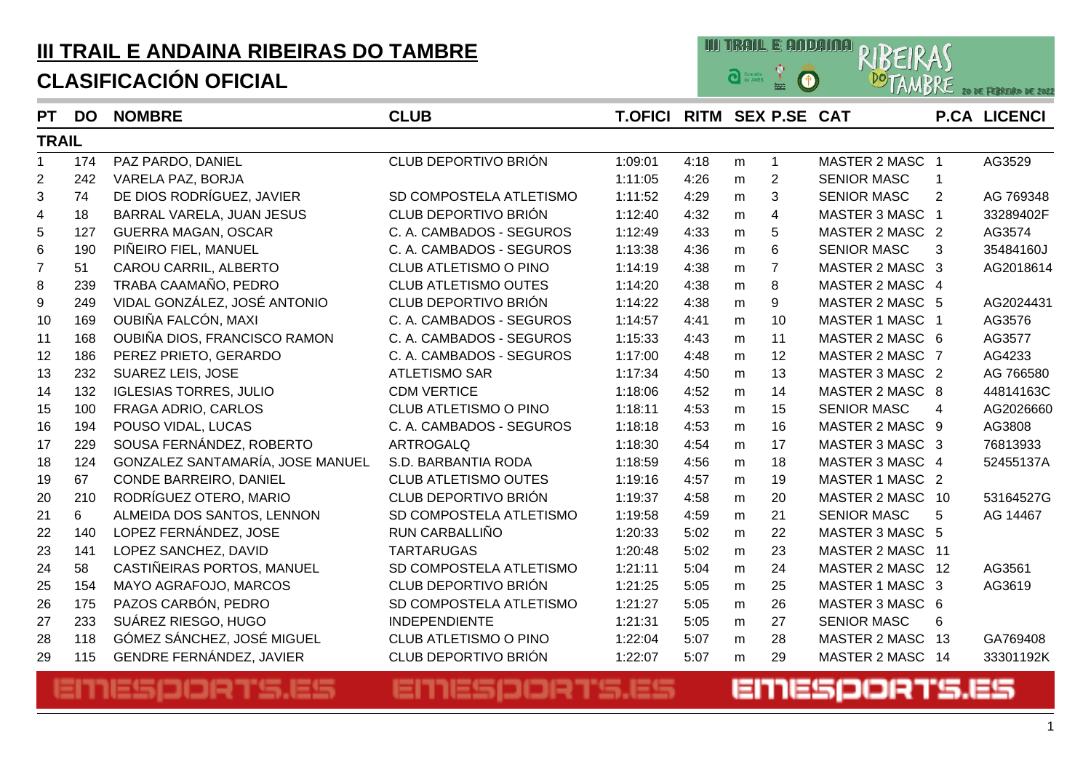# **III TRAIL E ANDAINA RIBEIRAS DO TAMBRE**

### **CLASIFICACIÓN OFICIAL**



| <b>PT</b>      | <b>DO</b> | <b>NOMBRE</b>                    | <b>CLUB</b>                 | <b>T.OFICI RITM SEX P.SE CAT</b> |      |   |                |                    |                | <b>P.CA LICENCI</b> |
|----------------|-----------|----------------------------------|-----------------------------|----------------------------------|------|---|----------------|--------------------|----------------|---------------------|
| <b>TRAIL</b>   |           |                                  |                             |                                  |      |   |                |                    |                |                     |
| $\mathbf{1}$   | 174       | PAZ PARDO, DANIEL                | CLUB DEPORTIVO BRIÓN        | 1:09:01                          | 4:18 | m | $\mathbf{1}$   | MASTER 2 MASC 1    |                | AG3529              |
| $\overline{2}$ | 242       | VARELA PAZ, BORJA                |                             | 1:11:05                          | 4:26 | m | $\overline{2}$ | <b>SENIOR MASC</b> | 1              |                     |
| 3              | 74        | DE DIOS RODRÍGUEZ, JAVIER        | SD COMPOSTELA ATLETISMO     | 1:11:52                          | 4:29 | m | 3              | <b>SENIOR MASC</b> | $\overline{2}$ | AG 769348           |
| 4              | 18        | BARRAL VARELA, JUAN JESUS        | CLUB DEPORTIVO BRIÓN        | 1:12:40                          | 4:32 | m | $\overline{4}$ | MASTER 3 MASC 1    |                | 33289402F           |
| 5              | 127       | <b>GUERRA MAGAN, OSCAR</b>       | C. A. CAMBADOS - SEGUROS    | 1:12:49                          | 4:33 | m | 5              | MASTER 2 MASC 2    |                | AG3574              |
| 6              | 190       | PIÑEIRO FIEL, MANUEL             | C. A. CAMBADOS - SEGUROS    | 1:13:38                          | 4:36 | m | 6              | <b>SENIOR MASC</b> | 3              | 35484160J           |
| $\overline{7}$ | 51        | CAROU CARRIL, ALBERTO            | CLUB ATLETISMO O PINO       | 1:14:19                          | 4:38 | m | $\overline{7}$ | MASTER 2 MASC 3    |                | AG2018614           |
| $\bf 8$        | 239       | TRABA CAAMAÑO, PEDRO             | <b>CLUB ATLETISMO OUTES</b> | 1:14:20                          | 4:38 | m | 8              | MASTER 2 MASC 4    |                |                     |
| 9              | 249       | VIDAL GONZÁLEZ, JOSÉ ANTONIO     | CLUB DEPORTIVO BRIÓN        | 1:14:22                          | 4:38 | m | 9              | MASTER 2 MASC 5    |                | AG2024431           |
| 10             | 169       | OUBIÑA FALCÓN, MAXI              | C. A. CAMBADOS - SEGUROS    | 1:14:57                          | 4:41 | m | 10             | MASTER 1 MASC 1    |                | AG3576              |
| 11             | 168       | OUBIÑA DIOS, FRANCISCO RAMON     | C. A. CAMBADOS - SEGUROS    | 1:15:33                          | 4:43 | m | 11             | MASTER 2 MASC 6    |                | AG3577              |
| 12             | 186       | PEREZ PRIETO, GERARDO            | C. A. CAMBADOS - SEGUROS    | 1:17:00                          | 4:48 | m | 12             | MASTER 2 MASC 7    |                | AG4233              |
| 13             | 232       | <b>SUAREZ LEIS, JOSE</b>         | <b>ATLETISMO SAR</b>        | 1:17:34                          | 4:50 | m | 13             | MASTER 3 MASC 2    |                | AG 766580           |
| 14             | 132       | <b>IGLESIAS TORRES, JULIO</b>    | <b>CDM VERTICE</b>          | 1:18:06                          | 4:52 | m | 14             | MASTER 2 MASC 8    |                | 44814163C           |
| 15             | 100       | FRAGA ADRIO, CARLOS              | CLUB ATLETISMO O PINO       | 1:18:11                          | 4:53 | m | 15             | <b>SENIOR MASC</b> | 4              | AG2026660           |
| 16             | 194       | POUSO VIDAL, LUCAS               | C. A. CAMBADOS - SEGUROS    | 1:18:18                          | 4:53 | m | 16             | MASTER 2 MASC 9    |                | AG3808              |
| 17             | 229       | SOUSA FERNÁNDEZ, ROBERTO         | <b>ARTROGALQ</b>            | 1:18:30                          | 4:54 | m | 17             | MASTER 3 MASC 3    |                | 76813933            |
| 18             | 124       | GONZALEZ SANTAMARÍA, JOSE MANUEL | S.D. BARBANTIA RODA         | 1:18:59                          | 4:56 | m | 18             | MASTER 3 MASC 4    |                | 52455137A           |
| 19             | 67        | CONDE BARREIRO, DANIEL           | <b>CLUB ATLETISMO OUTES</b> | 1:19:16                          | 4:57 | m | 19             | MASTER 1 MASC 2    |                |                     |
| 20             | 210       | RODRÍGUEZ OTERO, MARIO           | CLUB DEPORTIVO BRIÓN        | 1:19:37                          | 4:58 | m | 20             | MASTER 2 MASC 10   |                | 53164527G           |
| 21             | 6         | ALMEIDA DOS SANTOS, LENNON       | SD COMPOSTELA ATLETISMO     | 1:19:58                          | 4:59 | m | 21             | <b>SENIOR MASC</b> | 5              | AG 14467            |
| 22             | 140       | LOPEZ FERNÁNDEZ, JOSE            | RUN CARBALLIÑO              | 1:20:33                          | 5:02 | m | 22             | MASTER 3 MASC 5    |                |                     |
| 23             | 141       | LOPEZ SANCHEZ, DAVID             | <b>TARTARUGAS</b>           | 1:20:48                          | 5:02 | m | 23             | MASTER 2 MASC 11   |                |                     |
| 24             | 58        | CASTIÑEIRAS PORTOS, MANUEL       | SD COMPOSTELA ATLETISMO     | 1:21:11                          | 5:04 | m | 24             | MASTER 2 MASC 12   |                | AG3561              |
| 25             | 154       | MAYO AGRAFOJO, MARCOS            | CLUB DEPORTIVO BRIÓN        | 1:21:25                          | 5:05 | m | 25             | MASTER 1 MASC 3    |                | AG3619              |
| 26             | 175       | PAZOS CARBÓN, PEDRO              | SD COMPOSTELA ATLETISMO     | 1:21:27                          | 5:05 | m | 26             | MASTER 3 MASC 6    |                |                     |
| 27             | 233       | SUÁREZ RIESGO, HUGO              | <b>INDEPENDIENTE</b>        | 1:21:31                          | 5:05 | m | 27             | <b>SENIOR MASC</b> | 6              |                     |
| 28             | 118       | GÓMEZ SÁNCHEZ, JOSÉ MIGUEL       | CLUB ATLETISMO O PINO       | 1:22:04                          | 5:07 | m | 28             | MASTER 2 MASC      | - 13           | GA769408            |
| 29             | 115       | <b>GENDRE FERNÁNDEZ, JAVIER</b>  | CLUB DEPORTIVO BRIÓN        | 1:22:07                          | 5:07 | m | 29             | MASTER 2 MASC 14   |                | 33301192K           |

#### EMESPORTS.ES EMESPORTS.ES EMESPORTS.ES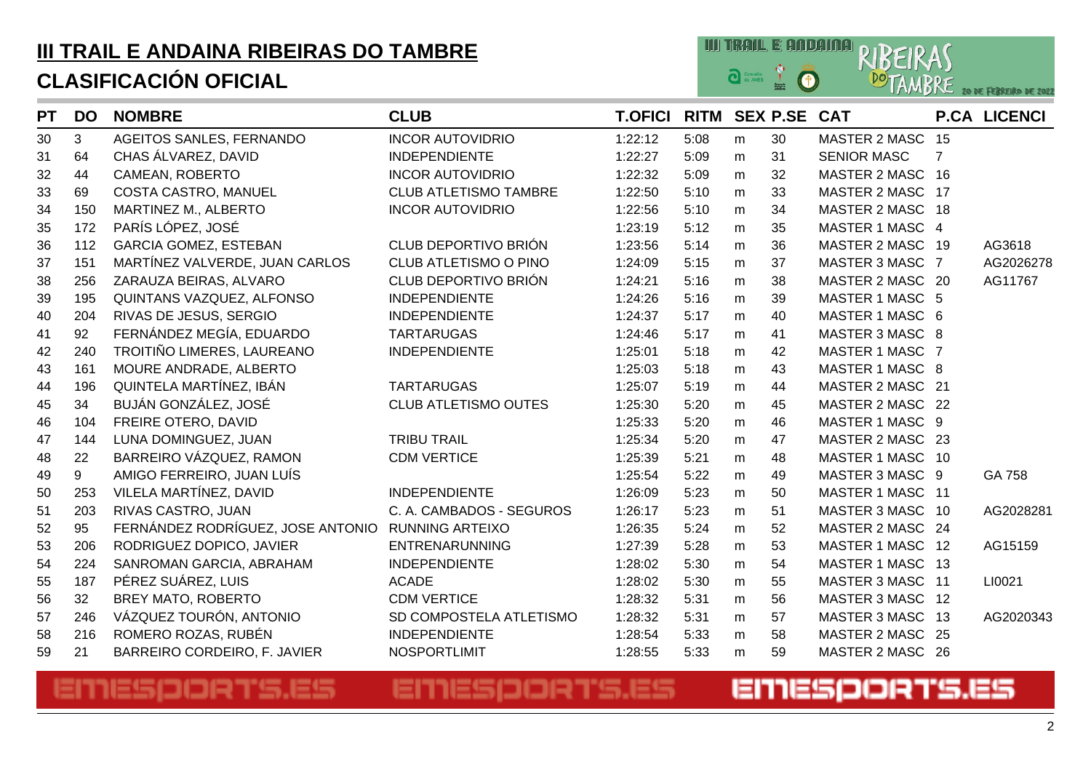

| <b>PT</b> | <b>DO</b> | <b>NOMBRE</b>                     | <b>CLUB</b>                  | <b>T.OFICI</b> | <b>RITM SEX P.SE</b> |           |    | <b>CAT</b>           |                | <b>P.CA LICENCI</b> |
|-----------|-----------|-----------------------------------|------------------------------|----------------|----------------------|-----------|----|----------------------|----------------|---------------------|
| 30        | 3         | AGEITOS SANLES, FERNANDO          | <b>INCOR AUTOVIDRIO</b>      | 1:22:12        | 5:08                 | m         | 30 | <b>MASTER 2 MASC</b> | 15             |                     |
| 31        | 64        | CHAS ÁLVAREZ, DAVID               | <b>INDEPENDIENTE</b>         | 1:22:27        | 5:09                 | m         | 31 | <b>SENIOR MASC</b>   | $\overline{7}$ |                     |
| 32        | 44        | CAMEAN, ROBERTO                   | <b>INCOR AUTOVIDRIO</b>      | 1:22:32        | 5:09                 | m         | 32 | MASTER 2 MASC 16     |                |                     |
| 33        | 69        | COSTA CASTRO, MANUEL              | <b>CLUB ATLETISMO TAMBRE</b> | 1:22:50        | 5:10                 | m         | 33 | MASTER 2 MASC 17     |                |                     |
| 34        | 150       | MARTINEZ M., ALBERTO              | <b>INCOR AUTOVIDRIO</b>      | 1:22:56        | 5:10                 | m         | 34 | MASTER 2 MASC 18     |                |                     |
| 35        | 172       | PARÍS LÓPEZ, JOSÉ                 |                              | 1:23:19        | 5:12                 | m         | 35 | MASTER 1 MASC 4      |                |                     |
| 36        | 112       | <b>GARCIA GOMEZ, ESTEBAN</b>      | CLUB DEPORTIVO BRIÓN         | 1:23:56        | 5:14                 | m         | 36 | MASTER 2 MASC 19     |                | AG3618              |
| 37        | 151       | MARTÍNEZ VALVERDE, JUAN CARLOS    | CLUB ATLETISMO O PINO        | 1:24:09        | 5:15                 | m         | 37 | MASTER 3 MASC 7      |                | AG2026278           |
| 38        | 256       | ZARAUZA BEIRAS, ALVARO            | CLUB DEPORTIVO BRIÓN         | 1:24:21        | 5:16                 | m         | 38 | MASTER 2 MASC 20     |                | AG11767             |
| 39        | 195       | QUINTANS VAZQUEZ, ALFONSO         | <b>INDEPENDIENTE</b>         | 1:24:26        | 5:16                 | m         | 39 | MASTER 1 MASC 5      |                |                     |
| 40        | 204       | RIVAS DE JESUS, SERGIO            | <b>INDEPENDIENTE</b>         | 1:24:37        | 5:17                 | ${\sf m}$ | 40 | MASTER 1 MASC 6      |                |                     |
| 41        | 92        | FERNÁNDEZ MEGÍA, EDUARDO          | <b>TARTARUGAS</b>            | 1:24:46        | 5:17                 | m         | 41 | MASTER 3 MASC 8      |                |                     |
| 42        | 240       | TROITIÑO LIMERES, LAUREANO        | <b>INDEPENDIENTE</b>         | 1:25:01        | 5:18                 | m         | 42 | MASTER 1 MASC 7      |                |                     |
| 43        | 161       | MOURE ANDRADE, ALBERTO            |                              | 1:25:03        | 5:18                 | m         | 43 | MASTER 1 MASC 8      |                |                     |
| 44        | 196       | QUINTELA MARTÍNEZ, IBÁN           | <b>TARTARUGAS</b>            | 1:25:07        | 5:19                 | m         | 44 | MASTER 2 MASC 21     |                |                     |
| 45        | 34        | BUJÁN GONZÁLEZ, JOSÉ              | <b>CLUB ATLETISMO OUTES</b>  | 1:25:30        | 5:20                 | m         | 45 | MASTER 2 MASC 22     |                |                     |
| 46        | 104       | FREIRE OTERO, DAVID               |                              | 1:25:33        | 5:20                 | m         | 46 | MASTER 1 MASC 9      |                |                     |
| 47        | 144       | LUNA DOMINGUEZ, JUAN              | <b>TRIBU TRAIL</b>           | 1:25:34        | 5:20                 | m         | 47 | MASTER 2 MASC 23     |                |                     |
| 48        | 22        | BARREIRO VÁZQUEZ, RAMON           | <b>CDM VERTICE</b>           | 1:25:39        | 5:21                 | m         | 48 | MASTER 1 MASC 10     |                |                     |
| 49        | 9         | AMIGO FERREIRO, JUAN LUÍS         |                              | 1:25:54        | 5:22                 | m         | 49 | MASTER 3 MASC 9      |                | GA 758              |
| 50        | 253       | VILELA MARTÍNEZ, DAVID            | <b>INDEPENDIENTE</b>         | 1:26:09        | 5:23                 | m         | 50 | MASTER 1 MASC 11     |                |                     |
| 51        | 203       | RIVAS CASTRO, JUAN                | C. A. CAMBADOS - SEGUROS     | 1:26:17        | 5:23                 | m         | 51 | MASTER 3 MASC 10     |                | AG2028281           |
| 52        | 95        | FERNÁNDEZ RODRÍGUEZ, JOSE ANTONIO | <b>RUNNING ARTEIXO</b>       | 1:26:35        | 5:24                 | m         | 52 | MASTER 2 MASC 24     |                |                     |
| 53        | 206       | RODRIGUEZ DOPICO, JAVIER          | <b>ENTRENARUNNING</b>        | 1:27:39        | 5:28                 | m         | 53 | MASTER 1 MASC 12     |                | AG15159             |
| 54        | 224       | SANROMAN GARCIA, ABRAHAM          | <b>INDEPENDIENTE</b>         | 1:28:02        | 5:30                 | ${\sf m}$ | 54 | MASTER 1 MASC 13     |                |                     |
| 55        | 187       | PÉREZ SUÁREZ, LUIS                | <b>ACADE</b>                 | 1:28:02        | 5:30                 | m         | 55 | MASTER 3 MASC 11     |                | LI0021              |
| 56        | 32        | BREY MATO, ROBERTO                | <b>CDM VERTICE</b>           | 1:28:32        | 5:31                 | m         | 56 | MASTER 3 MASC 12     |                |                     |
| 57        | 246       | VÁZQUEZ TOURÓN, ANTONIO           | SD COMPOSTELA ATLETISMO      | 1:28:32        | 5:31                 | m         | 57 | MASTER 3 MASC 13     |                | AG2020343           |
| 58        | 216       | ROMERO ROZAS, RUBÉN               | <b>INDEPENDIENTE</b>         | 1:28:54        | 5:33                 | m         | 58 | MASTER 2 MASC 25     |                |                     |
| 59        | 21        | BARREIRO CORDEIRO, F. JAVIER      | <b>NOSPORTLIMIT</b>          | 1:28:55        | 5:33                 | m         | 59 | MASTER 2 MASC 26     |                |                     |

## EMESPORTS.ES

### EMESPORTS.ES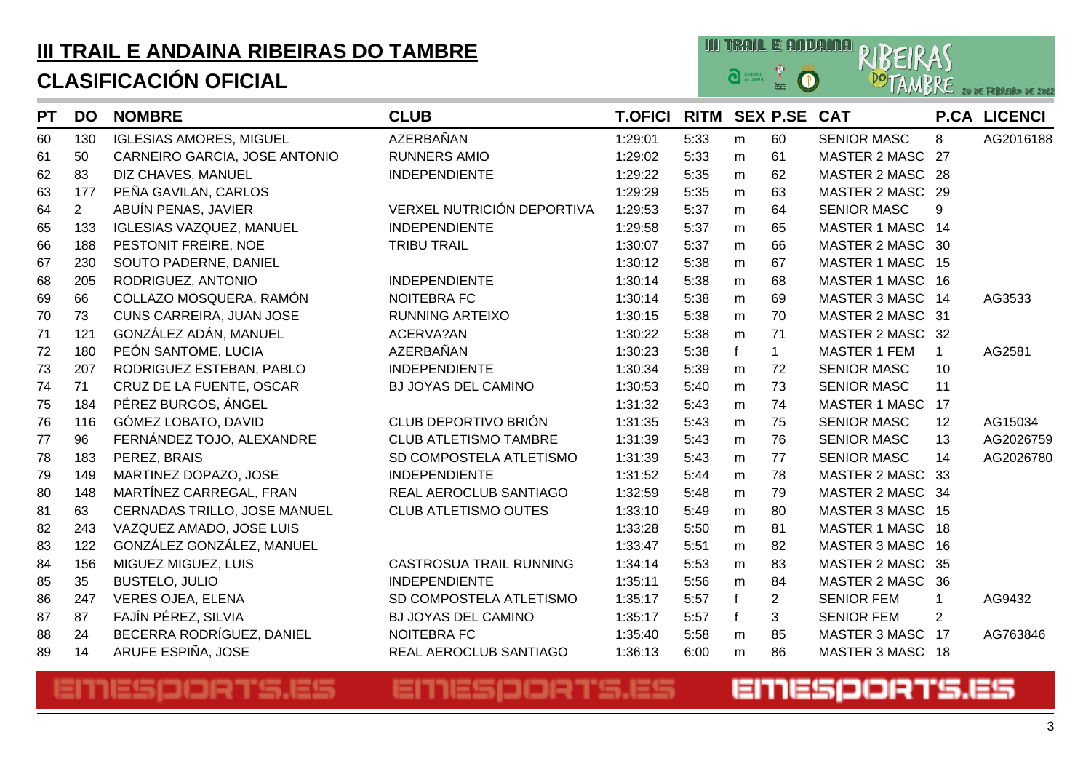

| <b>PT</b> | <b>DO</b>      | <b>NOMBRE</b>                   | <b>CLUB</b>                  | <b>T.OFICI RITM SEX P.SE CAT</b> |      |             |                |                      |              | <b>P.CA LICENCI</b> |
|-----------|----------------|---------------------------------|------------------------------|----------------------------------|------|-------------|----------------|----------------------|--------------|---------------------|
| 60        | 130            | <b>IGLESIAS AMORES, MIGUEL</b>  | AZERBAÑAN                    | 1:29:01                          | 5:33 | m           | 60             | <b>SENIOR MASC</b>   | 8            | AG2016188           |
| 61        | 50             | CARNEIRO GARCIA, JOSE ANTONIO   | <b>RUNNERS AMIO</b>          | 1:29:02                          | 5:33 | m           | 61             | MASTER 2 MASC 27     |              |                     |
| 62        | 83             | DIZ CHAVES, MANUEL              | <b>INDEPENDIENTE</b>         | 1:29:22                          | 5:35 | m           | 62             | MASTER 2 MASC 28     |              |                     |
| 63        | 177            | PEÑA GAVILAN, CARLOS            |                              | 1:29:29                          | 5:35 | m           | 63             | MASTER 2 MASC 29     |              |                     |
| 64        | $\overline{2}$ | ABUÍN PENAS, JAVIER             | VERXEL NUTRICIÓN DEPORTIVA   | 1:29:53                          | 5:37 | m           | 64             | <b>SENIOR MASC</b>   | 9            |                     |
| 65        | 133            | <b>IGLESIAS VAZQUEZ, MANUEL</b> | <b>INDEPENDIENTE</b>         | 1:29:58                          | 5:37 | m           | 65             | MASTER 1 MASC 14     |              |                     |
| 66        | 188            | PESTONIT FREIRE, NOE            | <b>TRIBU TRAIL</b>           | 1:30:07                          | 5:37 | m           | 66             | MASTER 2 MASC 30     |              |                     |
| 67        | 230            | SOUTO PADERNE, DANIEL           |                              | 1:30:12                          | 5:38 | m           | 67             | MASTER 1 MASC 15     |              |                     |
| 68        | 205            | RODRIGUEZ, ANTONIO              | <b>INDEPENDIENTE</b>         | 1:30:14                          | 5:38 | m           | 68             | MASTER 1 MASC 16     |              |                     |
| 69        | 66             | COLLAZO MOSQUERA, RAMÓN         | <b>NOITEBRA FC</b>           | 1:30:14                          | 5:38 | m           | 69             | MASTER 3 MASC 14     |              | AG3533              |
| 70        | 73             | CUNS CARREIRA, JUAN JOSE        | <b>RUNNING ARTEIXO</b>       | 1:30:15                          | 5:38 | m           | 70             | MASTER 2 MASC 31     |              |                     |
| 71        | 121            | GONZÁLEZ ADÁN, MANUEL           | ACERVA?AN                    | 1:30:22                          | 5:38 | m           | 71             | MASTER 2 MASC 32     |              |                     |
| 72        | 180            | PEÓN SANTOME, LUCIA             | AZERBAÑAN                    | 1:30:23                          | 5:38 | f           | $\mathbf{1}$   | <b>MASTER 1 FEM</b>  | $\mathbf{1}$ | AG2581              |
| 73        | 207            | RODRIGUEZ ESTEBAN, PABLO        | <b>INDEPENDIENTE</b>         | 1:30:34                          | 5:39 | m           | 72             | <b>SENIOR MASC</b>   | 10           |                     |
| 74        | 71             | CRUZ DE LA FUENTE, OSCAR        | BJ JOYAS DEL CAMINO          | 1:30:53                          | 5:40 | m           | 73             | <b>SENIOR MASC</b>   | 11           |                     |
| 75        | 184            | PÉREZ BURGOS, ÁNGEL             |                              | 1:31:32                          | 5:43 | m           | 74             | <b>MASTER 1 MASC</b> | 17           |                     |
| 76        | 116            | GÓMEZ LOBATO, DAVID             | CLUB DEPORTIVO BRIÓN         | 1:31:35                          | 5:43 | m           | 75             | SENIOR MASC          | 12           | AG15034             |
| 77        | 96             | FERNÁNDEZ TOJO, ALEXANDRE       | <b>CLUB ATLETISMO TAMBRE</b> | 1:31:39                          | 5:43 | m           | 76             | <b>SENIOR MASC</b>   | 13           | AG2026759           |
| 78        | 183            | PEREZ, BRAIS                    | SD COMPOSTELA ATLETISMO      | 1:31:39                          | 5:43 | m           | 77             | <b>SENIOR MASC</b>   | 14           | AG2026780           |
| 79        | 149            | MARTINEZ DOPAZO, JOSE           | <b>INDEPENDIENTE</b>         | 1:31:52                          | 5:44 | m           | 78             | MASTER 2 MASC 33     |              |                     |
| 80        | 148            | MARTÍNEZ CARREGAL, FRAN         | REAL AEROCLUB SANTIAGO       | 1:32:59                          | 5:48 | ${\sf m}$   | 79             | MASTER 2 MASC 34     |              |                     |
| 81        | 63             | CERNADAS TRILLO, JOSE MANUEL    | <b>CLUB ATLETISMO OUTES</b>  | 1:33:10                          | 5:49 | m           | 80             | MASTER 3 MASC 15     |              |                     |
| 82        | 243            | VAZQUEZ AMADO, JOSE LUIS        |                              | 1:33:28                          | 5:50 | m           | 81             | MASTER 1 MASC 18     |              |                     |
| 83        | 122            | GONZÁLEZ GONZÁLEZ, MANUEL       |                              | 1:33:47                          | 5:51 | m           | 82             | MASTER 3 MASC 16     |              |                     |
| 84        | 156            | MIGUEZ MIGUEZ, LUIS             | CASTROSUA TRAIL RUNNING      | 1:34:14                          | 5:53 | ${\sf m}$   | 83             | MASTER 2 MASC 35     |              |                     |
| 85        | 35             | <b>BUSTELO, JULIO</b>           | <b>INDEPENDIENTE</b>         | 1:35:11                          | 5:56 | m           | 84             | <b>MASTER 2 MASC</b> | 36           |                     |
| 86        | 247            | <b>VERES OJEA, ELENA</b>        | SD COMPOSTELA ATLETISMO      | 1:35:17                          | 5:57 | $\mathbf f$ | $\overline{2}$ | <b>SENIOR FEM</b>    | $\mathbf 1$  | AG9432              |
| 87        | 87             | FAJÍN PÉREZ, SILVIA             | BJ JOYAS DEL CAMINO          | 1:35:17                          | 5:57 | $\mathbf f$ | 3              | <b>SENIOR FEM</b>    | 2            |                     |
| 88        | 24             | BECERRA RODRÍGUEZ, DANIEL       | <b>NOITEBRA FC</b>           | 1:35:40                          | 5:58 | m           | 85             | MASTER 3 MASC 17     |              | AG763846            |
| 89        | 14             | ARUFE ESPIÑA, JOSE              | REAL AEROCLUB SANTIAGO       | 1:36:13                          | 6:00 | m           | 86             | MASTER 3 MASC 18     |              |                     |

#### EMESPORTS.ES EMESPORTS.ES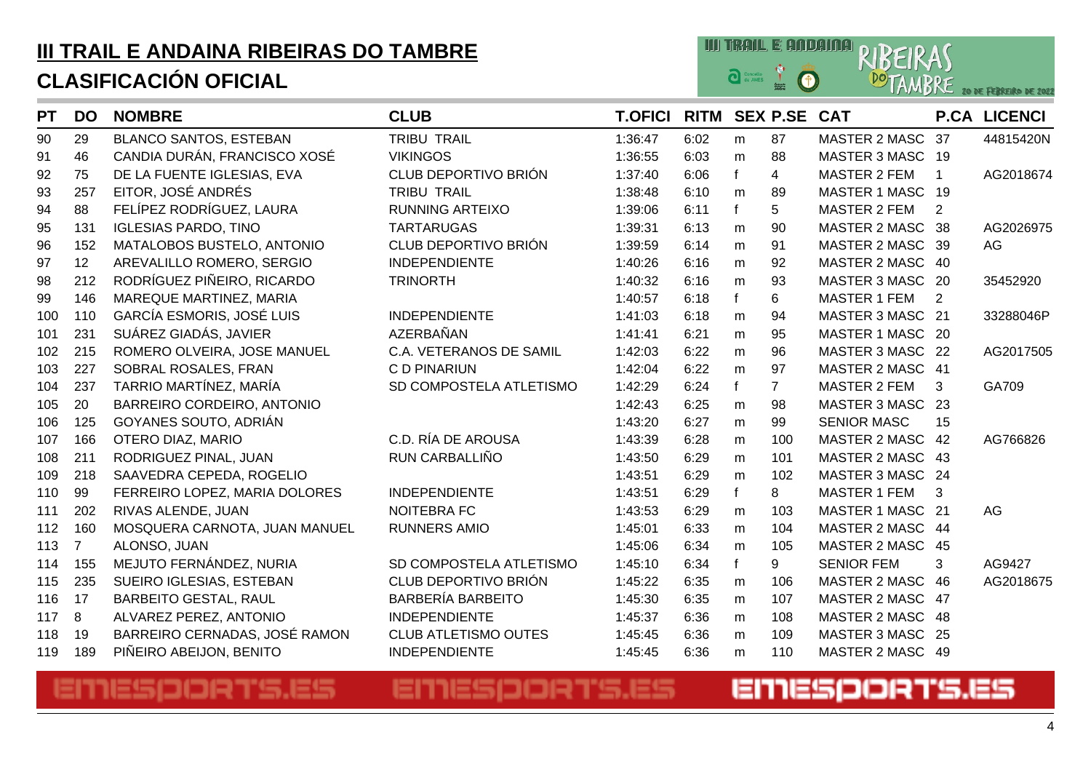

| <b>PT</b> | <b>DO</b>      | <b>NOMBRE</b>                    | <b>CLUB</b>                 | <b>T.OFICI</b> | RITM SEX P.SE CAT |           |                |                      |             | <b>P.CA LICENCI</b> |
|-----------|----------------|----------------------------------|-----------------------------|----------------|-------------------|-----------|----------------|----------------------|-------------|---------------------|
| 90        | 29             | <b>BLANCO SANTOS, ESTEBAN</b>    | <b>TRIBU TRAIL</b>          | 1:36:47        | 6:02              | m         | 87             | MASTER 2 MASC        | -37         | 44815420N           |
| 91        | 46             | CANDIA DURÁN, FRANCISCO XOSÉ     | <b>VIKINGOS</b>             | 1:36:55        | 6:03              | m         | 88             | MASTER 3 MASC 19     |             |                     |
| 92        | 75             | DE LA FUENTE IGLESIAS, EVA       | CLUB DEPORTIVO BRIÓN        | 1:37:40        | 6:06              | f         | $\overline{4}$ | <b>MASTER 2 FEM</b>  | $\mathbf 1$ | AG2018674           |
| 93        | 257            | EITOR, JOSÉ ANDRÉS               | <b>TRIBU TRAIL</b>          | 1:38:48        | 6:10              | m         | 89             | MASTER 1 MASC 19     |             |                     |
| 94        | 88             | FELÍPEZ RODRÍGUEZ, LAURA         | <b>RUNNING ARTEIXO</b>      | 1:39:06        | 6:11              | f         | 5              | <b>MASTER 2 FEM</b>  | 2           |                     |
| 95        | 131            | <b>IGLESIAS PARDO, TINO</b>      | <b>TARTARUGAS</b>           | 1:39:31        | 6:13              | ${\sf m}$ | 90             | MASTER 2 MASC 38     |             | AG2026975           |
| 96        | 152            | MATALOBOS BUSTELO, ANTONIO       | CLUB DEPORTIVO BRIÓN        | 1:39:59        | 6:14              | m         | 91             | MASTER 2 MASC 39     |             | AG                  |
| 97        | 12             | AREVALILLO ROMERO, SERGIO        | <b>INDEPENDIENTE</b>        | 1:40:26        | 6:16              | m         | 92             | MASTER 2 MASC 40     |             |                     |
| 98        | 212            | RODRÍGUEZ PIÑEIRO, RICARDO       | <b>TRINORTH</b>             | 1:40:32        | 6:16              | m         | 93             | <b>MASTER 3 MASC</b> | - 20        | 35452920            |
| 99        | 146            | MAREQUE MARTINEZ, MARIA          |                             | 1:40:57        | 6:18              | f         | 6              | <b>MASTER 1 FEM</b>  | 2           |                     |
| 100       | 110            | <b>GARCÍA ESMORIS, JOSÉ LUIS</b> | <b>INDEPENDIENTE</b>        | 1:41:03        | 6:18              | m         | 94             | MASTER 3 MASC 21     |             | 33288046P           |
| 101       | 231            | SUÁREZ GIADÁS, JAVIER            | AZERBAÑAN                   | 1:41:41        | 6:21              | m         | 95             | MASTER 1 MASC 20     |             |                     |
| 102       | 215            | ROMERO OLVEIRA, JOSE MANUEL      | C.A. VETERANOS DE SAMIL     | 1:42:03        | 6:22              | m         | 96             | MASTER 3 MASC 22     |             | AG2017505           |
| 103       | 227            | SOBRAL ROSALES, FRAN             | C D PINARIUN                | 1:42:04        | 6:22              | ${\sf m}$ | 97             | MASTER 2 MASC 41     |             |                     |
| 104       | 237            | TARRIO MARTÍNEZ, MARÍA           | SD COMPOSTELA ATLETISMO     | 1:42:29        | 6:24              | f         | $\overline{7}$ | <b>MASTER 2 FEM</b>  | 3           | GA709               |
| 105       | 20             | BARREIRO CORDEIRO, ANTONIO       |                             | 1:42:43        | 6:25              | m         | 98             | <b>MASTER 3 MASC</b> | -23         |                     |
| 106       | 125            | GOYANES SOUTO, ADRIÁN            |                             | 1:43:20        | 6:27              | ${\sf m}$ | 99             | <b>SENIOR MASC</b>   | 15          |                     |
| 107       | 166            | OTERO DIAZ, MARIO                | C.D. RÍA DE AROUSA          | 1:43:39        | 6:28              | m         | 100            | <b>MASTER 2 MASC</b> | 42          | AG766826            |
| 108       | 211            | RODRIGUEZ PINAL, JUAN            | RUN CARBALLIÑO              | 1:43:50        | 6:29              | m         | 101            | MASTER 2 MASC 43     |             |                     |
| 109       | 218            | SAAVEDRA CEPEDA, ROGELIO         |                             | 1:43:51        | 6:29              | m         | 102            | MASTER 3 MASC 24     |             |                     |
| 110       | 99             | FERREIRO LOPEZ, MARIA DOLORES    | <b>INDEPENDIENTE</b>        | 1:43:51        | 6:29              | f         | 8              | <b>MASTER 1 FEM</b>  | 3           |                     |
| 111       | 202            | RIVAS ALENDE, JUAN               | <b>NOITEBRA FC</b>          | 1:43:53        | 6:29              | m         | 103            | MASTER 1 MASC 21     |             | AG                  |
| 112       | 160            | MOSQUERA CARNOTA, JUAN MANUEL    | <b>RUNNERS AMIO</b>         | 1:45:01        | 6:33              | m         | 104            | MASTER 2 MASC 44     |             |                     |
| 113       | $\overline{7}$ | ALONSO, JUAN                     |                             | 1:45:06        | 6:34              | m         | 105            | MASTER 2 MASC 45     |             |                     |
| 114       | 155            | MEJUTO FERNÁNDEZ, NURIA          | SD COMPOSTELA ATLETISMO     | 1:45:10        | 6:34              | f         | 9              | <b>SENIOR FEM</b>    | 3           | AG9427              |
| 115       | 235            | SUEIRO IGLESIAS, ESTEBAN         | CLUB DEPORTIVO BRIÓN        | 1:45:22        | 6:35              | m         | 106            | MASTER 2 MASC 46     |             | AG2018675           |
| 116       | 17             | <b>BARBEITO GESTAL, RAUL</b>     | <b>BARBERÍA BARBEITO</b>    | 1:45:30        | 6:35              | m         | 107            | MASTER 2 MASC 47     |             |                     |
| 117       | 8              | ALVAREZ PEREZ, ANTONIO           | <b>INDEPENDIENTE</b>        | 1:45:37        | 6:36              | m         | 108            | MASTER 2 MASC 48     |             |                     |
| 118       | 19             | BARREIRO CERNADAS, JOSÉ RAMON    | <b>CLUB ATLETISMO OUTES</b> | 1:45:45        | 6:36              | m         | 109            | <b>MASTER 3 MASC</b> | -25         |                     |
| 119       | 189            | PIÑEIRO ABEIJON, BENITO          | <b>INDEPENDIENTE</b>        | 1:45:45        | 6:36              | m         | 110            | MASTER 2 MASC 49     |             |                     |

## EMESPORTS.ES

## EMESPORTS.ES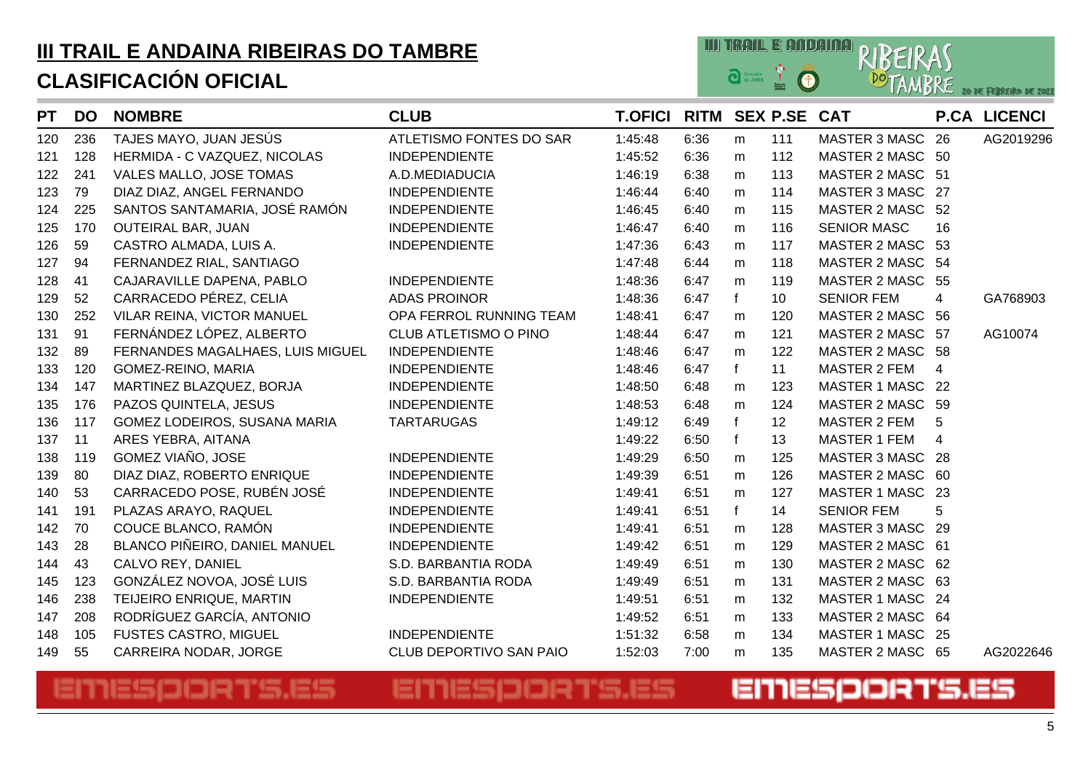

| <b>PT</b> | <b>DO</b> | <b>NOMBRE</b>                    | <b>CLUB</b>             | <b>T.OFICI</b> | <b>RITM</b> |   | <b>SEX P.SE CAT</b> |                      |                | <b>P.CA LICENCI</b> |
|-----------|-----------|----------------------------------|-------------------------|----------------|-------------|---|---------------------|----------------------|----------------|---------------------|
| 120       | 236       | TAJES MAYO, JUAN JESÚS           | ATLETISMO FONTES DO SAR | 1:45:48        | 6:36        | m | 111                 | <b>MASTER 3 MASC</b> | 26             | AG2019296           |
| 121       | 128       | HERMIDA - C VAZQUEZ, NICOLAS     | <b>INDEPENDIENTE</b>    | 1:45:52        | 6:36        | m | 112                 | MASTER 2 MASC 50     |                |                     |
| 122       | 241       | VALES MALLO, JOSE TOMAS          | A.D.MEDIADUCIA          | 1:46:19        | 6:38        | m | 113                 | MASTER 2 MASC 51     |                |                     |
| 123       | 79        | DIAZ DIAZ, ANGEL FERNANDO        | <b>INDEPENDIENTE</b>    | 1:46:44        | 6:40        | m | 114                 | MASTER 3 MASC 27     |                |                     |
| 124       | 225       | SANTOS SANTAMARIA, JOSÉ RAMÓN    | <b>INDEPENDIENTE</b>    | 1:46:45        | 6:40        | m | 115                 | MASTER 2 MASC 52     |                |                     |
| 125       | 170       | <b>OUTEIRAL BAR, JUAN</b>        | <b>INDEPENDIENTE</b>    | 1:46:47        | 6:40        | m | 116                 | <b>SENIOR MASC</b>   | 16             |                     |
| 126       | 59        | CASTRO ALMADA, LUIS A.           | <b>INDEPENDIENTE</b>    | 1:47:36        | 6:43        | m | 117                 | MASTER 2 MASC 53     |                |                     |
| 127       | 94        | FERNANDEZ RIAL, SANTIAGO         |                         | 1:47:48        | 6:44        | m | 118                 | MASTER 2 MASC 54     |                |                     |
| 128       | 41        | CAJARAVILLE DAPENA, PABLO        | <b>INDEPENDIENTE</b>    | 1:48:36        | 6:47        | m | 119                 | MASTER 2 MASC 55     |                |                     |
| 129       | 52        | CARRACEDO PÉREZ, CELIA           | <b>ADAS PROINOR</b>     | 1:48:36        | 6:47        | f | 10                  | <b>SENIOR FEM</b>    | 4              | GA768903            |
| 130       | 252       | VILAR REINA, VICTOR MANUEL       | OPA FERROL RUNNING TEAM | 1:48:41        | 6:47        | m | 120                 | MASTER 2 MASC 56     |                |                     |
| 131       | 91        | FERNÁNDEZ LÓPEZ, ALBERTO         | CLUB ATLETISMO O PINO   | 1:48:44        | 6:47        | m | 121                 | MASTER 2 MASC 57     |                | AG10074             |
| 132       | 89        | FERNANDES MAGALHAES, LUIS MIGUEL | <b>INDEPENDIENTE</b>    | 1:48:46        | 6:47        | m | 122                 | MASTER 2 MASC 58     |                |                     |
| 133       | 120       | GOMEZ-REINO, MARIA               | <b>INDEPENDIENTE</b>    | 1:48:46        | 6:47        | f | 11                  | <b>MASTER 2 FEM</b>  | $\overline{4}$ |                     |
| 134       | 147       | MARTINEZ BLAZQUEZ, BORJA         | <b>INDEPENDIENTE</b>    | 1:48:50        | 6:48        | m | 123                 | MASTER 1 MASC 22     |                |                     |
| 135       | 176       | PAZOS QUINTELA, JESUS            | <b>INDEPENDIENTE</b>    | 1:48:53        | 6:48        | m | 124                 | MASTER 2 MASC 59     |                |                     |
| 136       | 117       | GOMEZ LODEIROS, SUSANA MARIA     | <b>TARTARUGAS</b>       | 1:49:12        | 6:49        | f | 12                  | <b>MASTER 2 FEM</b>  | 5              |                     |
| 137       | 11        | ARES YEBRA, AITANA               |                         | 1:49:22        | 6:50        | f | 13                  | <b>MASTER 1 FEM</b>  | 4              |                     |
| 138       | 119       | GOMEZ VIAÑO, JOSE                | <b>INDEPENDIENTE</b>    | 1:49:29        | 6:50        | m | 125                 | MASTER 3 MASC 28     |                |                     |
| 139       | 80        | DIAZ DIAZ, ROBERTO ENRIQUE       | <b>INDEPENDIENTE</b>    | 1:49:39        | 6:51        | m | 126                 | MASTER 2 MASC 60     |                |                     |
| 140       | 53        | CARRACEDO POSE, RUBÉN JOSÉ       | <b>INDEPENDIENTE</b>    | 1:49:41        | 6:51        | m | 127                 | MASTER 1 MASC 23     |                |                     |
| 141       | 191       | PLAZAS ARAYO, RAQUEL             | <b>INDEPENDIENTE</b>    | 1:49:41        | 6:51        | f | 14                  | <b>SENIOR FEM</b>    | 5              |                     |
| 142       | 70        | COUCE BLANCO, RAMÓN              | <b>INDEPENDIENTE</b>    | 1:49:41        | 6:51        | m | 128                 | <b>MASTER 3 MASC</b> | -29            |                     |
| 143       | 28        | BLANCO PIÑEIRO, DANIEL MANUEL    | <b>INDEPENDIENTE</b>    | 1:49:42        | 6:51        | m | 129                 | MASTER 2 MASC 61     |                |                     |
| 144       | 43        | CALVO REY, DANIEL                | S.D. BARBANTIA RODA     | 1:49:49        | 6:51        | m | 130                 | MASTER 2 MASC 62     |                |                     |
| 145       | 123       | GONZÁLEZ NOVOA, JOSÉ LUIS        | S.D. BARBANTIA RODA     | 1:49:49        | 6:51        | m | 131                 | MASTER 2 MASC 63     |                |                     |
| 146       | 238       | TEIJEIRO ENRIQUE, MARTIN         | <b>INDEPENDIENTE</b>    | 1:49:51        | 6:51        | m | 132                 | MASTER 1 MASC 24     |                |                     |
| 147       | 208       | RODRÍGUEZ GARCÍA, ANTONIO        |                         | 1:49:52        | 6:51        | m | 133                 | MASTER 2 MASC 64     |                |                     |
| 148       | 105       | <b>FUSTES CASTRO, MIGUEL</b>     | <b>INDEPENDIENTE</b>    | 1:51:32        | 6:58        | m | 134                 | MASTER 1 MASC 25     |                |                     |
| 149       | 55        | CARREIRA NODAR, JORGE            | CLUB DEPORTIVO SAN PAIO | 1:52:03        | 7:00        | m | 135                 | MASTER 2 MASC 65     |                | AG2022646           |

#### EMESPORTS.ES EMESPORTS.ES EMESPORTS.ES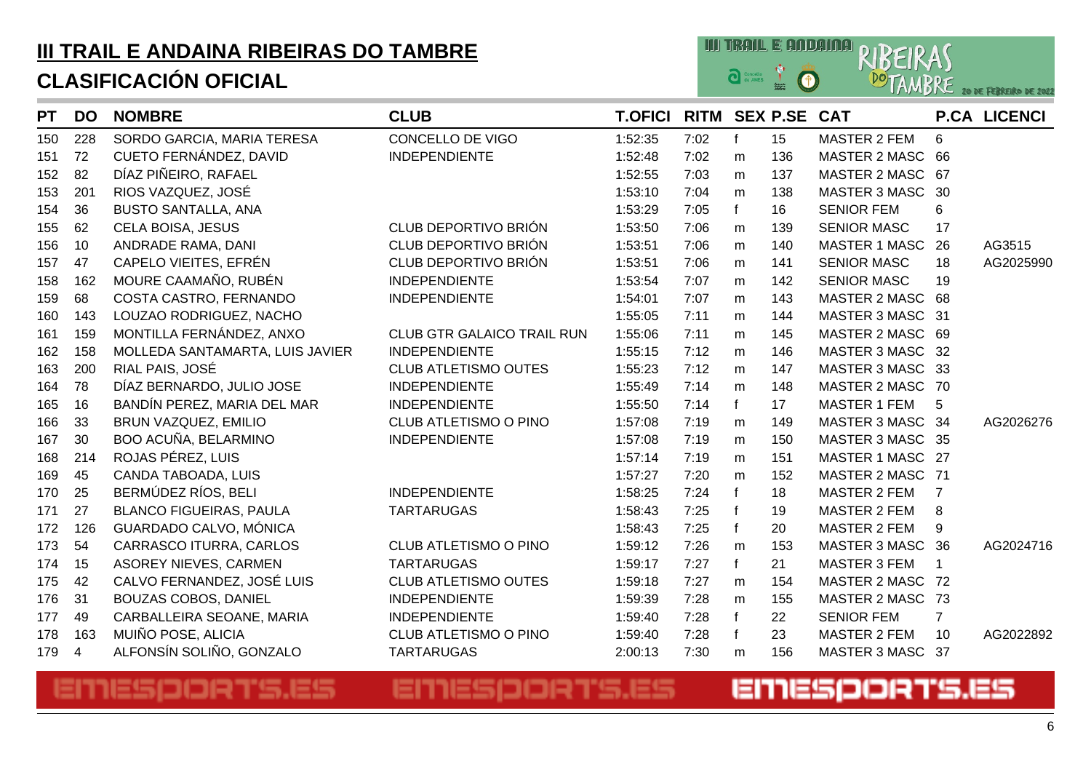

| <b>PT</b> | <b>DO</b> | <b>NOMBRE</b>                   | <b>CLUB</b>                       | <b>T.OFICI</b> | RITM SEX P.SE CAT |              |     |                      |                      | <b>P.CA LICENCI</b> |
|-----------|-----------|---------------------------------|-----------------------------------|----------------|-------------------|--------------|-----|----------------------|----------------------|---------------------|
| 150       | 228       | SORDO GARCIA, MARIA TERESA      | CONCELLO DE VIGO                  | 1:52:35        | 7:02              | f            | 15  | <b>MASTER 2 FEM</b>  | 6                    |                     |
| 151       | 72        | CUETO FERNÁNDEZ, DAVID          | <b>INDEPENDIENTE</b>              | 1:52:48        | 7:02              | m            | 136 | <b>MASTER 2 MASC</b> | 66                   |                     |
| 152       | 82        | DÍAZ PIÑEIRO, RAFAEL            |                                   | 1:52:55        | 7:03              | m            | 137 | MASTER 2 MASC        | 67                   |                     |
| 153       | 201       | RIOS VAZQUEZ, JOSÉ              |                                   | 1:53:10        | 7:04              | m            | 138 | <b>MASTER 3 MASC</b> | 30                   |                     |
| 154       | 36        | <b>BUSTO SANTALLA, ANA</b>      |                                   | 1:53:29        | 7:05              | f            | 16  | <b>SENIOR FEM</b>    | 6                    |                     |
| 155       | 62        | CELA BOISA, JESUS               | CLUB DEPORTIVO BRIÓN              | 1:53:50        | 7:06              | m            | 139 | <b>SENIOR MASC</b>   | 17                   |                     |
| 156       | 10        | ANDRADE RAMA, DANI              | CLUB DEPORTIVO BRIÓN              | 1:53:51        | 7:06              | m            | 140 | <b>MASTER 1 MASC</b> | 26                   | AG3515              |
| 157       | 47        | CAPELO VIEITES, EFRÉN           | CLUB DEPORTIVO BRIÓN              | 1:53:51        | 7:06              | m            | 141 | <b>SENIOR MASC</b>   | 18                   | AG2025990           |
| 158       | 162       | MOURE CAAMAÑO, RUBÉN            | <b>INDEPENDIENTE</b>              | 1:53:54        | 7:07              | m            | 142 | <b>SENIOR MASC</b>   | 19                   |                     |
| 159       | 68        | COSTA CASTRO, FERNANDO          | <b>INDEPENDIENTE</b>              | 1:54:01        | 7:07              | m            | 143 | <b>MASTER 2 MASC</b> | 68                   |                     |
| 160       | 143       | LOUZAO RODRIGUEZ, NACHO         |                                   | 1:55:05        | 7:11              | m            | 144 | MASTER 3 MASC        | 31                   |                     |
| 161       | 159       | MONTILLA FERNÁNDEZ, ANXO        | <b>CLUB GTR GALAICO TRAIL RUN</b> | 1:55:06        | 7:11              | m            | 145 | MASTER 2 MASC 69     |                      |                     |
| 162       | 158       | MOLLEDA SANTAMARTA, LUIS JAVIER | <b>INDEPENDIENTE</b>              | 1:55:15        | 7:12              | m            | 146 | MASTER 3 MASC 32     |                      |                     |
| 163       | 200       | RIAL PAIS, JOSÉ                 | <b>CLUB ATLETISMO OUTES</b>       | 1:55:23        | 7:12              | m            | 147 | MASTER 3 MASC 33     |                      |                     |
| 164       | 78        | DÍAZ BERNARDO, JULIO JOSE       | <b>INDEPENDIENTE</b>              | 1:55:49        | 7:14              | m            | 148 | <b>MASTER 2 MASC</b> | 70                   |                     |
| 165       | 16        | BANDÍN PEREZ, MARIA DEL MAR     | <b>INDEPENDIENTE</b>              | 1:55:50        | 7:14              | $\mathsf{f}$ | 17  | <b>MASTER 1 FEM</b>  | 5                    |                     |
| 166       | 33        | BRUN VAZQUEZ, EMILIO            | <b>CLUB ATLETISMO O PINO</b>      | 1:57:08        | 7:19              | m            | 149 | MASTER 3 MASC 34     |                      | AG2026276           |
| 167       | 30        | BOO ACUÑA, BELARMINO            | <b>INDEPENDIENTE</b>              | 1:57:08        | 7:19              | m            | 150 | MASTER 3 MASC 35     |                      |                     |
| 168       | 214       | ROJAS PÉREZ, LUIS               |                                   | 1:57:14        | 7:19              | m            | 151 | <b>MASTER 1 MASC</b> | -27                  |                     |
| 169       | 45        | CANDA TABOADA, LUIS             |                                   | 1:57:27        | 7:20              | m            | 152 | <b>MASTER 2 MASC</b> | 71                   |                     |
| 170       | 25        | BERMÚDEZ RÍOS, BELI             | <b>INDEPENDIENTE</b>              | 1:58:25        | 7:24              | $\mathsf{f}$ | 18  | <b>MASTER 2 FEM</b>  | $\overline{7}$       |                     |
| 171       | 27        | <b>BLANCO FIGUEIRAS, PAULA</b>  | <b>TARTARUGAS</b>                 | 1:58:43        | 7:25              | $\mathsf{f}$ | 19  | <b>MASTER 2 FEM</b>  | 8                    |                     |
| 172       | 126       | GUARDADO CALVO, MÓNICA          |                                   | 1:58:43        | 7:25              | $\mathbf{f}$ | 20  | <b>MASTER 2 FEM</b>  | 9                    |                     |
| 173       | 54        | CARRASCO ITURRA, CARLOS         | CLUB ATLETISMO O PINO             | 1:59:12        | 7:26              | m            | 153 | MASTER 3 MASC        | 36                   | AG2024716           |
| 174       | 15        | <b>ASOREY NIEVES, CARMEN</b>    | <b>TARTARUGAS</b>                 | 1:59:17        | 7:27              | $\mathbf{f}$ | 21  | MASTER 3 FEM         | $\blacktriangleleft$ |                     |
| 175       | 42        | CALVO FERNANDEZ, JOSÉ LUIS      | <b>CLUB ATLETISMO OUTES</b>       | 1:59:18        | 7:27              | m            | 154 | <b>MASTER 2 MASC</b> | -72                  |                     |
| 176       | 31        | <b>BOUZAS COBOS, DANIEL</b>     | <b>INDEPENDIENTE</b>              | 1:59:39        | 7:28              | m            | 155 | MASTER 2 MASC        | 73                   |                     |
| 177       | 49        | CARBALLEIRA SEOANE, MARIA       | <b>INDEPENDIENTE</b>              | 1:59:40        | 7:28              | $\mathsf{f}$ | 22  | <b>SENIOR FEM</b>    | $\overline{7}$       |                     |
| 178       | 163       | MUIÑO POSE, ALICIA              | CLUB ATLETISMO O PINO             | 1:59:40        | 7:28              | $\mathbf{f}$ | 23  | <b>MASTER 2 FEM</b>  | 10                   | AG2022892           |
| 179       | 4         | ALFONSÍN SOLIÑO, GONZALO        | <b>TARTARUGAS</b>                 | 2:00:13        | 7:30              | m            | 156 | <b>MASTER 3 MASC</b> | 37                   |                     |

## EMESPORTS.ES

### EMESPORTS.ES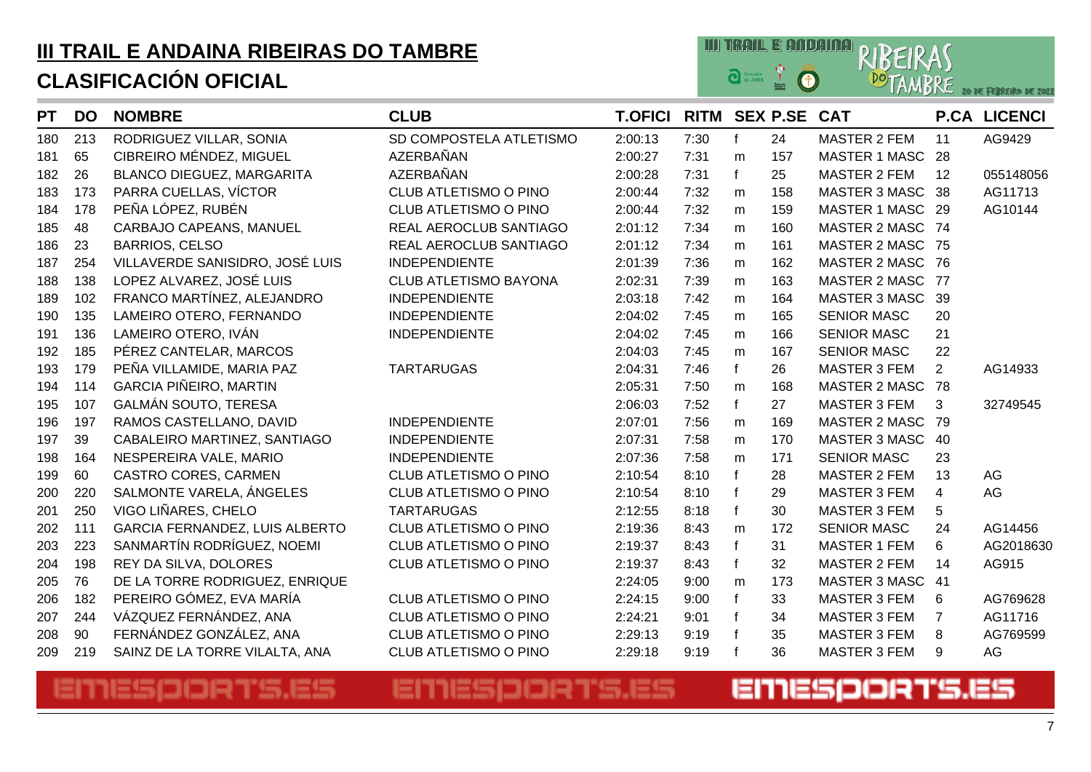

| <b>PT</b> | <b>DO</b> | <b>NOMBRE</b>                    | <b>CLUB</b>                  | <b>T.OFICI</b> | RITM SEX P.SE CAT |           |     |                      |                | <b>P.CA LICENCI</b> |
|-----------|-----------|----------------------------------|------------------------------|----------------|-------------------|-----------|-----|----------------------|----------------|---------------------|
| 180       | 213       | RODRIGUEZ VILLAR, SONIA          | SD COMPOSTELA ATLETISMO      | 2:00:13        | 7:30              | f         | 24  | <b>MASTER 2 FEM</b>  | 11             | AG9429              |
| 181       | 65        | CIBREIRO MÉNDEZ, MIGUEL          | AZERBAÑAN                    | 2:00:27        | 7:31              | m         | 157 | <b>MASTER 1 MASC</b> | 28             |                     |
| 182       | 26        | <b>BLANCO DIEGUEZ, MARGARITA</b> | AZERBAÑAN                    | 2:00:28        | 7:31              | f         | 25  | <b>MASTER 2 FEM</b>  | 12             | 055148056           |
| 183       | 173       | PARRA CUELLAS, VÍCTOR            | CLUB ATLETISMO O PINO        | 2:00:44        | 7:32              | m         | 158 | <b>MASTER 3 MASC</b> | 38             | AG11713             |
| 184       | 178       | PEÑA LÓPEZ, RUBÉN                | CLUB ATLETISMO O PINO        | 2:00:44        | 7:32              | ${\sf m}$ | 159 | <b>MASTER 1 MASC</b> | - 29           | AG10144             |
| 185       | 48        | CARBAJO CAPEANS, MANUEL          | REAL AEROCLUB SANTIAGO       | 2:01:12        | 7:34              | m         | 160 | MASTER 2 MASC 74     |                |                     |
| 186       | 23        | <b>BARRIOS, CELSO</b>            | REAL AEROCLUB SANTIAGO       | 2:01:12        | 7:34              | m         | 161 | <b>MASTER 2 MASC</b> | 75             |                     |
| 187       | 254       | VILLAVERDE SANISIDRO, JOSÉ LUIS  | <b>INDEPENDIENTE</b>         | 2:01:39        | 7:36              | ${\sf m}$ | 162 | MASTER 2 MASC        | 76             |                     |
| 188       | 138       | LOPEZ ALVAREZ, JOSÉ LUIS         | <b>CLUB ATLETISMO BAYONA</b> | 2:02:31        | 7:39              | m         | 163 | <b>MASTER 2 MASC</b> | 77             |                     |
| 189       | 102       | FRANCO MARTÍNEZ, ALEJANDRO       | <b>INDEPENDIENTE</b>         | 2:03:18        | 7:42              | m         | 164 | <b>MASTER 3 MASC</b> | -39            |                     |
| 190       | 135       | LAMEIRO OTERO, FERNANDO          | <b>INDEPENDIENTE</b>         | 2:04:02        | 7:45              | m         | 165 | <b>SENIOR MASC</b>   | 20             |                     |
| 191       | 136       | LAMEIRO OTERO, IVÁN              | <b>INDEPENDIENTE</b>         | 2:04:02        | 7:45              | m         | 166 | <b>SENIOR MASC</b>   | 21             |                     |
| 192       | 185       | PÉREZ CANTELAR, MARCOS           |                              | 2:04:03        | 7:45              | m         | 167 | <b>SENIOR MASC</b>   | 22             |                     |
| 193       | 179       | PEÑA VILLAMIDE, MARIA PAZ        | <b>TARTARUGAS</b>            | 2:04:31        | 7:46              | f         | 26  | <b>MASTER 3 FEM</b>  | $\overline{2}$ | AG14933             |
| 194       | 114       | <b>GARCIA PIÑEIRO, MARTIN</b>    |                              | 2:05:31        | 7:50              | m         | 168 | <b>MASTER 2 MASC</b> | 78             |                     |
| 195       | 107       | <b>GALMÁN SOUTO, TERESA</b>      |                              | 2:06:03        | 7:52              | f         | 27  | <b>MASTER 3 FEM</b>  | 3              | 32749545            |
| 196       | 197       | RAMOS CASTELLANO, DAVID          | <b>INDEPENDIENTE</b>         | 2:07:01        | 7:56              | m         | 169 | <b>MASTER 2 MASC</b> | -79            |                     |
| 197       | 39        | CABALEIRO MARTINEZ, SANTIAGO     | <b>INDEPENDIENTE</b>         | 2:07:31        | 7:58              | m         | 170 | <b>MASTER 3 MASC</b> | -40            |                     |
| 198       | 164       | NESPEREIRA VALE, MARIO           | <b>INDEPENDIENTE</b>         | 2:07:36        | 7:58              | m         | 171 | <b>SENIOR MASC</b>   | 23             |                     |
| 199       | 60        | CASTRO CORES, CARMEN             | <b>CLUB ATLETISMO O PINO</b> | 2:10:54        | 8:10              | f         | 28  | <b>MASTER 2 FEM</b>  | 13             | AG                  |
| 200       | 220       | SALMONTE VARELA, ÁNGELES         | CLUB ATLETISMO O PINO        | 2:10:54        | 8:10              |           | 29  | <b>MASTER 3 FEM</b>  | $\overline{4}$ | AG                  |
| 201       | 250       | VIGO LIÑARES, CHELO              | <b>TARTARUGAS</b>            | 2:12:55        | 8:18              |           | 30  | <b>MASTER 3 FEM</b>  | 5              |                     |
| 202       | 111       | GARCIA FERNANDEZ, LUIS ALBERTO   | <b>CLUB ATLETISMO O PINO</b> | 2:19:36        | 8:43              | m         | 172 | <b>SENIOR MASC</b>   | 24             | AG14456             |
| 203       | 223       | SANMARTÍN RODRÍGUEZ, NOEMI       | <b>CLUB ATLETISMO O PINO</b> | 2:19:37        | 8:43              | f         | 31  | <b>MASTER 1 FEM</b>  | 6              | AG2018630           |
| 204       | 198       | REY DA SILVA, DOLORES            | CLUB ATLETISMO O PINO        | 2:19:37        | 8:43              |           | 32  | <b>MASTER 2 FEM</b>  | 14             | AG915               |
| 205       | 76        | DE LA TORRE RODRIGUEZ, ENRIQUE   |                              | 2:24:05        | 9:00              | ${\sf m}$ | 173 | MASTER 3 MASC        | 41             |                     |
| 206       | 182       | PEREIRO GÓMEZ, EVA MARÍA         | <b>CLUB ATLETISMO O PINO</b> | 2:24:15        | 9:00              |           | 33  | <b>MASTER 3 FEM</b>  | 6              | AG769628            |
| 207       | 244       | VÁZQUEZ FERNÁNDEZ, ANA           | CLUB ATLETISMO O PINO        | 2:24:21        | 9:01              |           | 34  | <b>MASTER 3 FEM</b>  | $\overline{7}$ | AG11716             |
| 208       | 90        | FERNÁNDEZ GONZÁLEZ, ANA          | CLUB ATLETISMO O PINO        | 2:29:13        | 9:19              |           | 35  | <b>MASTER 3 FEM</b>  | 8              | AG769599            |
| 209       | 219       | SAINZ DE LA TORRE VILALTA, ANA   | CLUB ATLETISMO O PINO        | 2:29:18        | 9:19              |           | 36  | <b>MASTER 3 FEM</b>  | 9              | AG                  |

## EMESPORTS.ES

EMESPORTS.ES